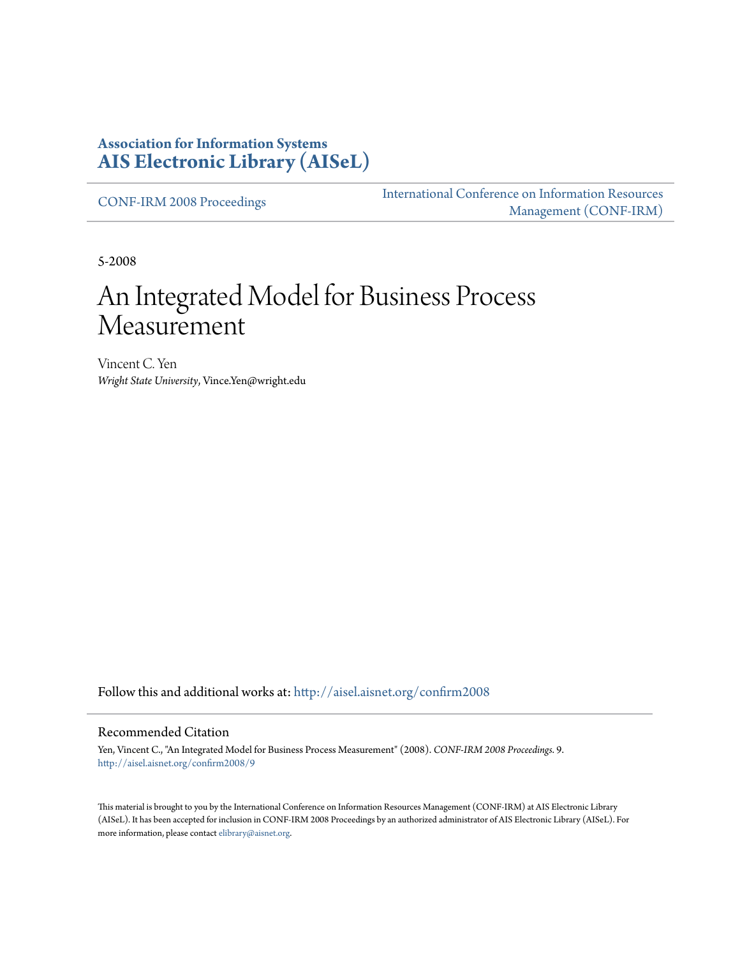#### **Association for Information Systems [AIS Electronic Library \(AISeL\)](http://aisel.aisnet.org?utm_source=aisel.aisnet.org%2Fconfirm2008%2F9&utm_medium=PDF&utm_campaign=PDFCoverPages)**

[CONF-IRM 2008 Proceedings](http://aisel.aisnet.org/confirm2008?utm_source=aisel.aisnet.org%2Fconfirm2008%2F9&utm_medium=PDF&utm_campaign=PDFCoverPages)

[International Conference on Information Resources](http://aisel.aisnet.org/conf-irm?utm_source=aisel.aisnet.org%2Fconfirm2008%2F9&utm_medium=PDF&utm_campaign=PDFCoverPages) [Management \(CONF-IRM\)](http://aisel.aisnet.org/conf-irm?utm_source=aisel.aisnet.org%2Fconfirm2008%2F9&utm_medium=PDF&utm_campaign=PDFCoverPages)

5-2008

# An Integrated Model for Business Process Measurement

Vincent C. Yen *Wright State University*, Vince.Yen@wright.edu

Follow this and additional works at: [http://aisel.aisnet.org/confirm2008](http://aisel.aisnet.org/confirm2008?utm_source=aisel.aisnet.org%2Fconfirm2008%2F9&utm_medium=PDF&utm_campaign=PDFCoverPages)

#### Recommended Citation

Yen, Vincent C., "An Integrated Model for Business Process Measurement" (2008). *CONF-IRM 2008 Proceedings*. 9. [http://aisel.aisnet.org/confirm2008/9](http://aisel.aisnet.org/confirm2008/9?utm_source=aisel.aisnet.org%2Fconfirm2008%2F9&utm_medium=PDF&utm_campaign=PDFCoverPages)

This material is brought to you by the International Conference on Information Resources Management (CONF-IRM) at AIS Electronic Library (AISeL). It has been accepted for inclusion in CONF-IRM 2008 Proceedings by an authorized administrator of AIS Electronic Library (AISeL). For more information, please contact [elibrary@aisnet.org.](mailto:elibrary@aisnet.org%3E)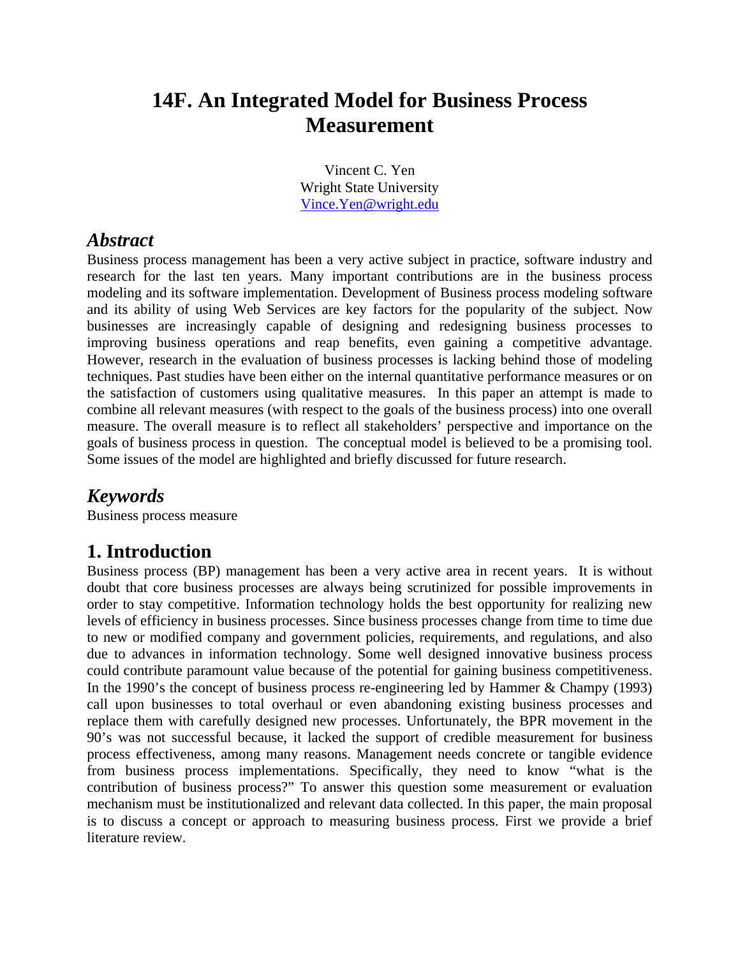# **14F. An Integrated Model for Business Process Measurement**

Vincent C. Yen Wright State University Vince.Yen@wright.edu

#### *Abstract*

Business process management has been a very active subject in practice, software industry and research for the last ten years. Many important contributions are in the business process modeling and its software implementation. Development of Business process modeling software and its ability of using Web Services are key factors for the popularity of the subject. Now businesses are increasingly capable of designing and redesigning business processes to improving business operations and reap benefits, even gaining a competitive advantage. However, research in the evaluation of business processes is lacking behind those of modeling techniques. Past studies have been either on the internal quantitative performance measures or on the satisfaction of customers using qualitative measures. In this paper an attempt is made to combine all relevant measures (with respect to the goals of the business process) into one overall measure. The overall measure is to reflect all stakeholders' perspective and importance on the goals of business process in question. The conceptual model is believed to be a promising tool. Some issues of the model are highlighted and briefly discussed for future research.

#### *Keywords*

Business process measure

# **1. Introduction**

Business process (BP) management has been a very active area in recent years. It is without doubt that core business processes are always being scrutinized for possible improvements in order to stay competitive. Information technology holds the best opportunity for realizing new levels of efficiency in business processes. Since business processes change from time to time due to new or modified company and government policies, requirements, and regulations, and also due to advances in information technology. Some well designed innovative business process could contribute paramount value because of the potential for gaining business competitiveness. In the 1990's the concept of business process re-engineering led by Hammer & Champy (1993) call upon businesses to total overhaul or even abandoning existing business processes and replace them with carefully designed new processes. Unfortunately, the BPR movement in the 90's was not successful because, it lacked the support of credible measurement for business process effectiveness, among many reasons. Management needs concrete or tangible evidence from business process implementations. Specifically, they need to know "what is the contribution of business process?" To answer this question some measurement or evaluation mechanism must be institutionalized and relevant data collected. In this paper, the main proposal is to discuss a concept or approach to measuring business process. First we provide a brief literature review.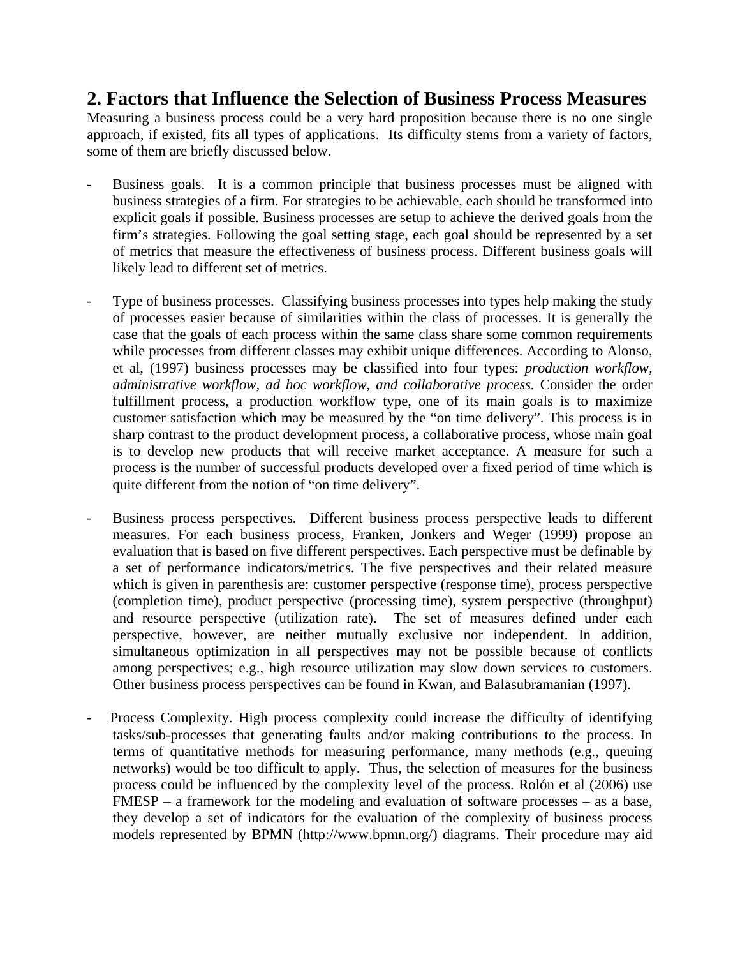#### **2. Factors that Influence the Selection of Business Process Measures**

Measuring a business process could be a very hard proposition because there is no one single approach, if existed, fits all types of applications. Its difficulty stems from a variety of factors, some of them are briefly discussed below.

- Business goals. It is a common principle that business processes must be aligned with business strategies of a firm. For strategies to be achievable, each should be transformed into explicit goals if possible. Business processes are setup to achieve the derived goals from the firm's strategies. Following the goal setting stage, each goal should be represented by a set of metrics that measure the effectiveness of business process. Different business goals will likely lead to different set of metrics.
- Type of business processes. Classifying business processes into types help making the study of processes easier because of similarities within the class of processes. It is generally the case that the goals of each process within the same class share some common requirements while processes from different classes may exhibit unique differences. According to Alonso, et al, (1997) business processes may be classified into four types: *production workflow, administrative workflow, ad hoc workflow, and collaborative process.* Consider the order fulfillment process, a production workflow type, one of its main goals is to maximize customer satisfaction which may be measured by the "on time delivery". This process is in sharp contrast to the product development process, a collaborative process, whose main goal is to develop new products that will receive market acceptance. A measure for such a process is the number of successful products developed over a fixed period of time which is quite different from the notion of "on time delivery".
- Business process perspectives. Different business process perspective leads to different measures. For each business process, Franken, Jonkers and Weger (1999) propose an evaluation that is based on five different perspectives. Each perspective must be definable by a set of performance indicators/metrics. The five perspectives and their related measure which is given in parenthesis are: customer perspective (response time), process perspective (completion time), product perspective (processing time), system perspective (throughput) and resource perspective (utilization rate). The set of measures defined under each perspective, however, are neither mutually exclusive nor independent. In addition, simultaneous optimization in all perspectives may not be possible because of conflicts among perspectives; e.g., high resource utilization may slow down services to customers. Other business process perspectives can be found in Kwan, and Balasubramanian (1997).
- Process Complexity. High process complexity could increase the difficulty of identifying tasks/sub-processes that generating faults and/or making contributions to the process. In terms of quantitative methods for measuring performance, many methods (e.g., queuing networks) would be too difficult to apply. Thus, the selection of measures for the business process could be influenced by the complexity level of the process. Rolón et al (2006) use FMESP – a framework for the modeling and evaluation of software processes – as a base, they develop a set of indicators for the evaluation of the complexity of business process models represented by BPMN (http://www.bpmn.org/) diagrams. Their procedure may aid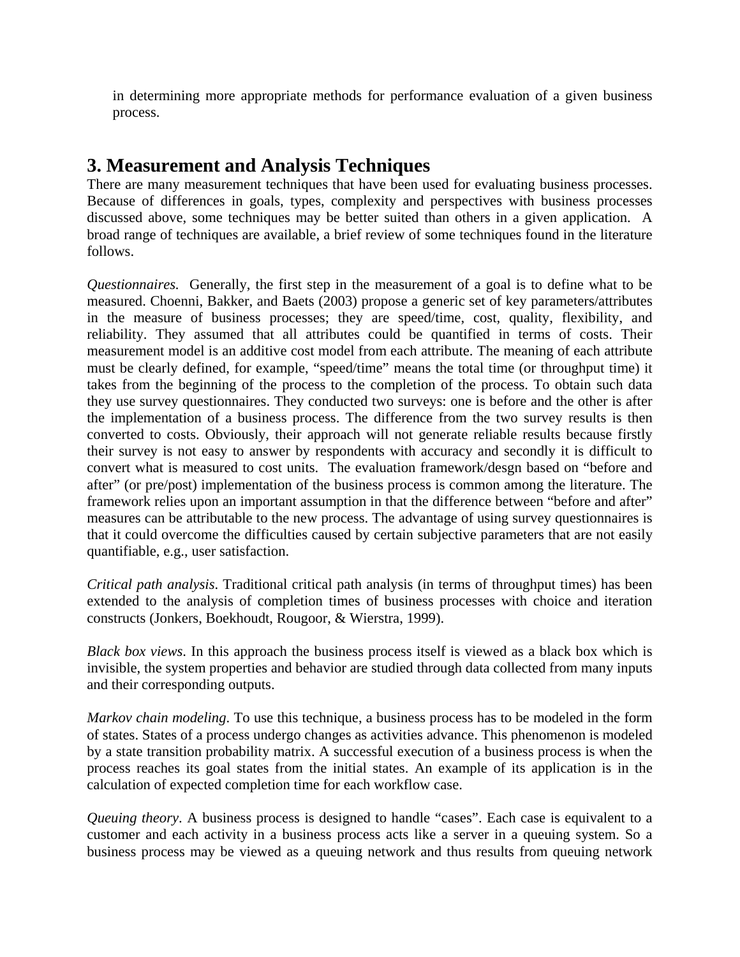in determining more appropriate methods for performance evaluation of a given business process.

### **3. Measurement and Analysis Techniques**

There are many measurement techniques that have been used for evaluating business processes. Because of differences in goals, types, complexity and perspectives with business processes discussed above, some techniques may be better suited than others in a given application. A broad range of techniques are available, a brief review of some techniques found in the literature follows.

*Questionnaires.* Generally, the first step in the measurement of a goal is to define what to be measured. Choenni, Bakker, and Baets (2003) propose a generic set of key parameters/attributes in the measure of business processes; they are speed/time, cost, quality, flexibility, and reliability. They assumed that all attributes could be quantified in terms of costs. Their measurement model is an additive cost model from each attribute. The meaning of each attribute must be clearly defined, for example, "speed/time" means the total time (or throughput time) it takes from the beginning of the process to the completion of the process. To obtain such data they use survey questionnaires. They conducted two surveys: one is before and the other is after the implementation of a business process. The difference from the two survey results is then converted to costs. Obviously, their approach will not generate reliable results because firstly their survey is not easy to answer by respondents with accuracy and secondly it is difficult to convert what is measured to cost units. The evaluation framework/desgn based on "before and after" (or pre/post) implementation of the business process is common among the literature. The framework relies upon an important assumption in that the difference between "before and after" measures can be attributable to the new process. The advantage of using survey questionnaires is that it could overcome the difficulties caused by certain subjective parameters that are not easily quantifiable, e.g., user satisfaction.

*Critical path analysis*. Traditional critical path analysis (in terms of throughput times) has been extended to the analysis of completion times of business processes with choice and iteration constructs (Jonkers, Boekhoudt, Rougoor, & Wierstra, 1999).

*Black box views*. In this approach the business process itself is viewed as a black box which is invisible, the system properties and behavior are studied through data collected from many inputs and their corresponding outputs.

*Markov chain modeling*. To use this technique, a business process has to be modeled in the form of states. States of a process undergo changes as activities advance. This phenomenon is modeled by a state transition probability matrix. A successful execution of a business process is when the process reaches its goal states from the initial states. An example of its application is in the calculation of expected completion time for each workflow case.

*Queuing theory*. A business process is designed to handle "cases". Each case is equivalent to a customer and each activity in a business process acts like a server in a queuing system. So a business process may be viewed as a queuing network and thus results from queuing network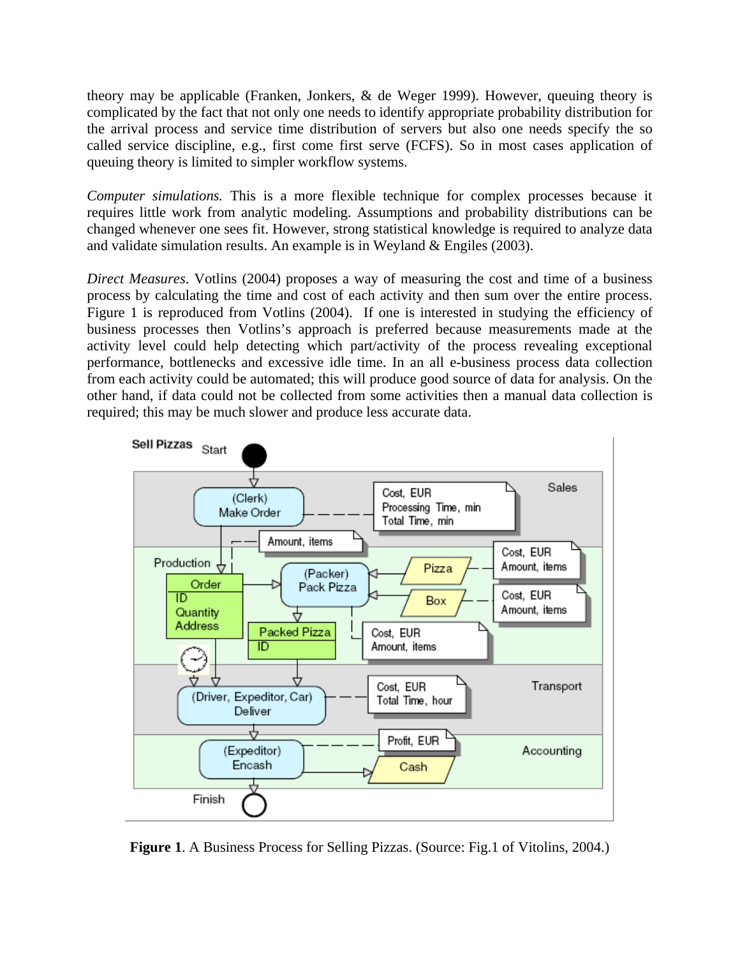theory may be applicable (Franken, Jonkers, & de Weger 1999). However, queuing theory is complicated by the fact that not only one needs to identify appropriate probability distribution for the arrival process and service time distribution of servers but also one needs specify the so called service discipline, e.g., first come first serve (FCFS). So in most cases application of queuing theory is limited to simpler workflow systems.

*Computer simulations.* This is a more flexible technique for complex processes because it requires little work from analytic modeling. Assumptions and probability distributions can be changed whenever one sees fit. However, strong statistical knowledge is required to analyze data and validate simulation results. An example is in Weyland & Engiles (2003).

*Direct Measures*. Votlins (2004) proposes a way of measuring the cost and time of a business process by calculating the time and cost of each activity and then sum over the entire process. Figure 1 is reproduced from Votlins (2004). If one is interested in studying the efficiency of business processes then Votlins's approach is preferred because measurements made at the activity level could help detecting which part/activity of the process revealing exceptional performance, bottlenecks and excessive idle time. In an all e-business process data collection from each activity could be automated; this will produce good source of data for analysis. On the other hand, if data could not be collected from some activities then a manual data collection is required; this may be much slower and produce less accurate data.



**Figure 1**. A Business Process for Selling Pizzas. (Source: Fig.1 of Vitolins, 2004.)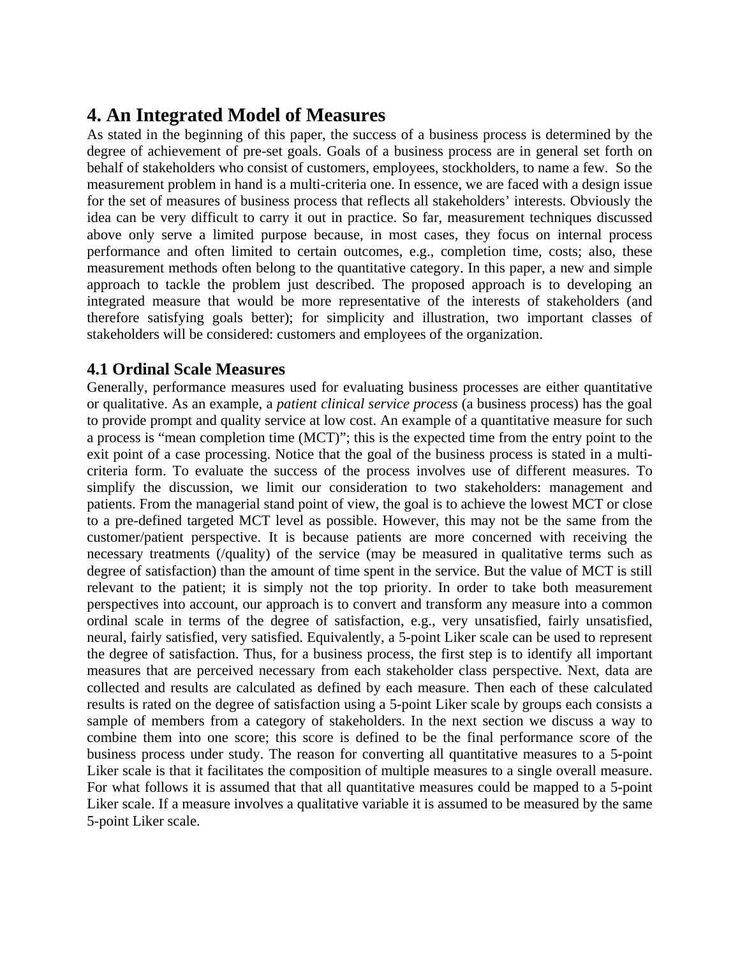## **4. An Integrated Model of Measures**

As stated in the beginning of this paper, the success of a business process is determined by the degree of achievement of pre-set goals. Goals of a business process are in general set forth on behalf of stakeholders who consist of customers, employees, stockholders, to name a few. So the measurement problem in hand is a multi-criteria one. In essence, we are faced with a design issue for the set of measures of business process that reflects all stakeholders' interests. Obviously the idea can be very difficult to carry it out in practice. So far, measurement techniques discussed above only serve a limited purpose because, in most cases, they focus on internal process performance and often limited to certain outcomes, e.g., completion time, costs; also, these measurement methods often belong to the quantitative category. In this paper, a new and simple approach to tackle the problem just described. The proposed approach is to developing an integrated measure that would be more representative of the interests of stakeholders (and therefore satisfying goals better); for simplicity and illustration, two important classes of stakeholders will be considered: customers and employees of the organization.

#### **4.1 Ordinal Scale Measures**

Generally, performance measures used for evaluating business processes are either quantitative or qualitative. As an example, a *patient clinical service process* (a business process) has the goal to provide prompt and quality service at low cost. An example of a quantitative measure for such a process is "mean completion time (MCT)"; this is the expected time from the entry point to the exit point of a case processing. Notice that the goal of the business process is stated in a multicriteria form. To evaluate the success of the process involves use of different measures. To simplify the discussion, we limit our consideration to two stakeholders: management and patients. From the managerial stand point of view, the goal is to achieve the lowest MCT or close to a pre-defined targeted MCT level as possible. However, this may not be the same from the customer/patient perspective. It is because patients are more concerned with receiving the necessary treatments (/quality) of the service (may be measured in qualitative terms such as degree of satisfaction) than the amount of time spent in the service. But the value of MCT is still relevant to the patient; it is simply not the top priority. In order to take both measurement perspectives into account, our approach is to convert and transform any measure into a common ordinal scale in terms of the degree of satisfaction, e.g., very unsatisfied, fairly unsatisfied, neural, fairly satisfied, very satisfied. Equivalently, a 5-point Liker scale can be used to represent the degree of satisfaction. Thus, for a business process, the first step is to identify all important measures that are perceived necessary from each stakeholder class perspective. Next, data are collected and results are calculated as defined by each measure. Then each of these calculated results is rated on the degree of satisfaction using a 5-point Liker scale by groups each consists a sample of members from a category of stakeholders. In the next section we discuss a way to combine them into one score; this score is defined to be the final performance score of the business process under study. The reason for converting all quantitative measures to a 5-point Liker scale is that it facilitates the composition of multiple measures to a single overall measure. For what follows it is assumed that that all quantitative measures could be mapped to a 5-point Liker scale. If a measure involves a qualitative variable it is assumed to be measured by the same 5-point Liker scale.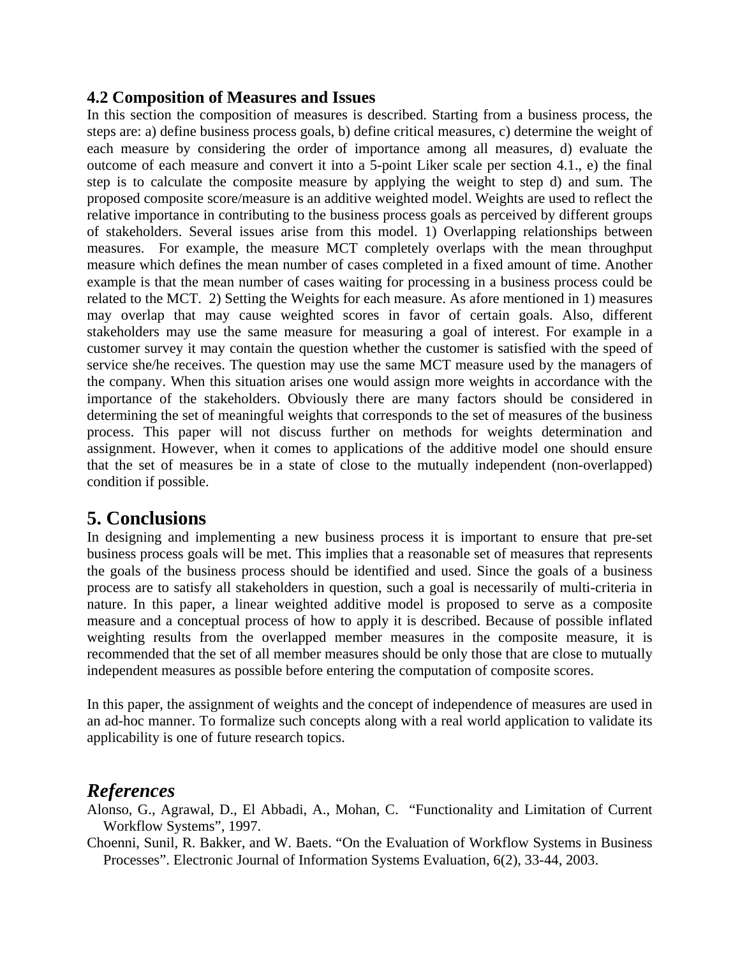#### **4.2 Composition of Measures and Issues**

In this section the composition of measures is described. Starting from a business process, the steps are: a) define business process goals, b) define critical measures, c) determine the weight of each measure by considering the order of importance among all measures, d) evaluate the outcome of each measure and convert it into a 5-point Liker scale per section 4.1., e) the final step is to calculate the composite measure by applying the weight to step d) and sum. The proposed composite score/measure is an additive weighted model. Weights are used to reflect the relative importance in contributing to the business process goals as perceived by different groups of stakeholders. Several issues arise from this model. 1) Overlapping relationships between measures. For example, the measure MCT completely overlaps with the mean throughput measure which defines the mean number of cases completed in a fixed amount of time. Another example is that the mean number of cases waiting for processing in a business process could be related to the MCT. 2) Setting the Weights for each measure. As afore mentioned in 1) measures may overlap that may cause weighted scores in favor of certain goals. Also, different stakeholders may use the same measure for measuring a goal of interest. For example in a customer survey it may contain the question whether the customer is satisfied with the speed of service she/he receives. The question may use the same MCT measure used by the managers of the company. When this situation arises one would assign more weights in accordance with the importance of the stakeholders. Obviously there are many factors should be considered in determining the set of meaningful weights that corresponds to the set of measures of the business process. This paper will not discuss further on methods for weights determination and assignment. However, when it comes to applications of the additive model one should ensure that the set of measures be in a state of close to the mutually independent (non-overlapped) condition if possible.

#### **5. Conclusions**

In designing and implementing a new business process it is important to ensure that pre-set business process goals will be met. This implies that a reasonable set of measures that represents the goals of the business process should be identified and used. Since the goals of a business process are to satisfy all stakeholders in question, such a goal is necessarily of multi-criteria in nature. In this paper, a linear weighted additive model is proposed to serve as a composite measure and a conceptual process of how to apply it is described. Because of possible inflated weighting results from the overlapped member measures in the composite measure, it is recommended that the set of all member measures should be only those that are close to mutually independent measures as possible before entering the computation of composite scores.

In this paper, the assignment of weights and the concept of independence of measures are used in an ad-hoc manner. To formalize such concepts along with a real world application to validate its applicability is one of future research topics.

#### *References*

Alonso, G., Agrawal, D., El Abbadi, A., Mohan, C. "Functionality and Limitation of Current Workflow Systems", 1997.

Choenni, Sunil, R. Bakker, and W. Baets. "On the Evaluation of Workflow Systems in Business Processes". Electronic Journal of Information Systems Evaluation, 6(2), 33-44, 2003.